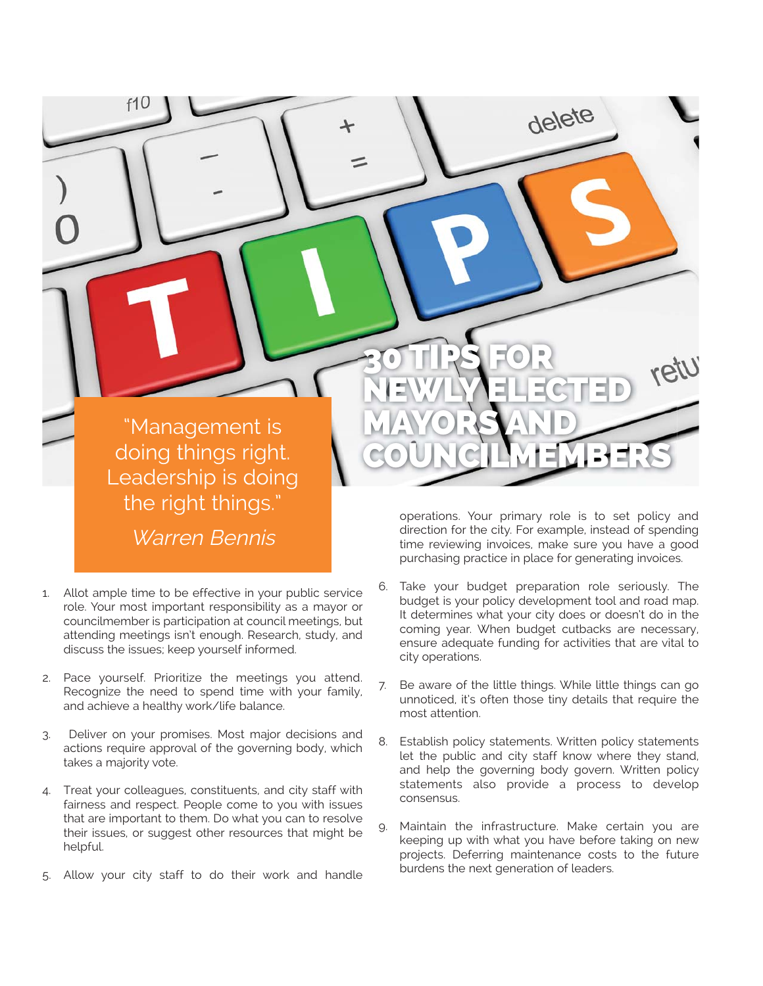

- 1. Allot ample time to be effective in your public service role. Your most important responsibility as a mayor or councilmember is participation at council meetings, but attending meetings isn't enough. Research, study, and discuss the issues; keep yourself informed.
- 2. Pace yourself. Prioritize the meetings you attend. Recognize the need to spend time with your family, and achieve a healthy work/life balance.
- 3. Deliver on your promises. Most major decisions and actions require approval of the governing body, which takes a majority vote.
- 4. Treat your colleagues, constituents, and city staff with fairness and respect. People come to you with issues that are important to them. Do what you can to resolve their issues, or suggest other resources that might be helpful.
- 5. Allow your city staff to do their work and handle

time reviewing invoices, make sure you have a good purchasing practice in place for generating invoices.

- 6. Take your budget preparation role seriously. The budget is your policy development tool and road map. It determines what your city does or doesn't do in the coming year. When budget cutbacks are necessary, ensure adequate funding for activities that are vital to city operations.
- 7. Be aware of the little things. While little things can go unnoticed, it's often those tiny details that require the most attention.
- 8. Establish policy statements. Written policy statements let the public and city staff know where they stand, and help the governing body govern. Written policy statements also provide a process to develop consensus.
- Maintain the infrastructure. Make certain you are keeping up with what you have before taking on new projects. Deferring maintenance costs to the future burdens the next generation of leaders.